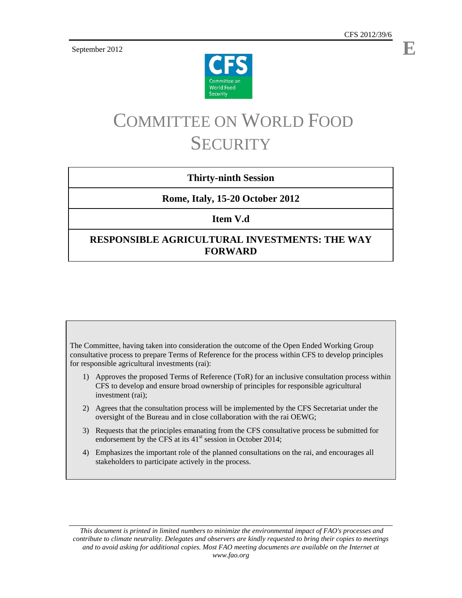September 2012



# COMMITTEE ON WORLD FOOD **SECURITY**

# **Thirty-ninth Session**

## **Rome, Italy, 15-20 October 2012**

**Item V.d** 

# **RESPONSIBLE AGRICULTURAL INVESTMENTS: THE WAY FORWARD**

The Committee, having taken into consideration the outcome of the Open Ended Working Group consultative process to prepare Terms of Reference for the process within CFS to develop principles for responsible agricultural investments (rai):

- 1) Approves the proposed Terms of Reference (ToR) for an inclusive consultation process within CFS to develop and ensure broad ownership of principles for responsible agricultural investment (rai);
- 2) Agrees that the consultation process will be implemented by the CFS Secretariat under the oversight of the Bureau and in close collaboration with the rai OEWG;
- 3) Requests that the principles emanating from the CFS consultative process be submitted for endorsement by the CFS at its  $41<sup>st</sup>$  session in October 2014;
- 4) Emphasizes the important role of the planned consultations on the rai, and encourages all stakeholders to participate actively in the process.

 *This document is printed in limited numbers to minimize the environmental impact of FAO's processes and contribute to climate neutrality. Delegates and observers are kindly requested to bring their copies to meetings and to avoid asking for additional copies. Most FAO meeting documents are available on the Internet at www.fao.org* 

**E**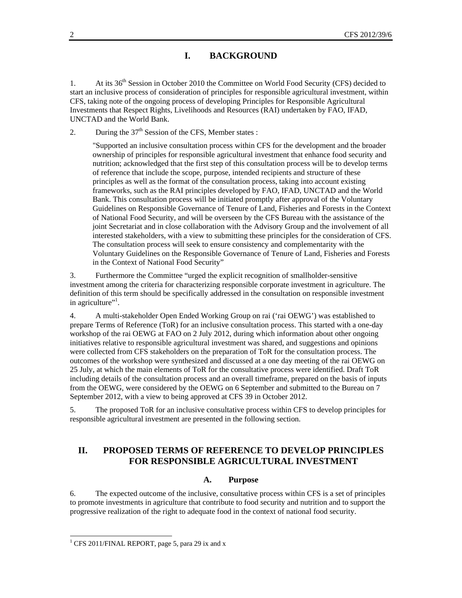## **I. BACKGROUND**

1. At its 36<sup>th</sup> Session in October 2010 the Committee on World Food Security (CFS) decided to start an inclusive process of consideration of principles for responsible agricultural investment, within CFS, taking note of the ongoing process of developing Principles for Responsible Agricultural Investments that Respect Rights, Livelihoods and Resources (RAI) undertaken by FAO, IFAD, UNCTAD and the World Bank.

2. During the  $37<sup>th</sup>$  Session of the CFS, Member states :

"Supported an inclusive consultation process within CFS for the development and the broader ownership of principles for responsible agricultural investment that enhance food security and nutrition; acknowledged that the first step of this consultation process will be to develop terms of reference that include the scope, purpose, intended recipients and structure of these principles as well as the format of the consultation process, taking into account existing frameworks, such as the RAI principles developed by FAO, IFAD, UNCTAD and the World Bank. This consultation process will be initiated promptly after approval of the Voluntary Guidelines on Responsible Governance of Tenure of Land, Fisheries and Forests in the Context of National Food Security, and will be overseen by the CFS Bureau with the assistance of the joint Secretariat and in close collaboration with the Advisory Group and the involvement of all interested stakeholders, with a view to submitting these principles for the consideration of CFS. The consultation process will seek to ensure consistency and complementarity with the Voluntary Guidelines on the Responsible Governance of Tenure of Land, Fisheries and Forests in the Context of National Food Security"

3. Furthermore the Committee "urged the explicit recognition of smallholder-sensitive investment among the criteria for characterizing responsible corporate investment in agriculture. The definition of this term should be specifically addressed in the consultation on responsible investment in agriculture"<sup>1</sup>.

4. A multi-stakeholder Open Ended Working Group on rai ('rai OEWG') was established to prepare Terms of Reference (ToR) for an inclusive consultation process. This started with a one-day workshop of the rai OEWG at FAO on 2 July 2012, during which information about other ongoing initiatives relative to responsible agricultural investment was shared, and suggestions and opinions were collected from CFS stakeholders on the preparation of ToR for the consultation process. The outcomes of the workshop were synthesized and discussed at a one day meeting of the rai OEWG on 25 July, at which the main elements of ToR for the consultative process were identified. Draft ToR including details of the consultation process and an overall timeframe, prepared on the basis of inputs from the OEWG, were considered by the OEWG on 6 September and submitted to the Bureau on 7 September 2012, with a view to being approved at CFS 39 in October 2012.

5. The proposed ToR for an inclusive consultative process within CFS to develop principles for responsible agricultural investment are presented in the following section.

## **II. PROPOSED TERMS OF REFERENCE TO DEVELOP PRINCIPLES FOR RESPONSIBLE AGRICULTURAL INVESTMENT**

#### **A. Purpose**

6. The expected outcome of the inclusive, consultative process within CFS is a set of principles to promote investments in agriculture that contribute to food security and nutrition and to support the progressive realization of the right to adequate food in the context of national food security.

l

<sup>&</sup>lt;sup>1</sup> CFS 2011/FINAL REPORT, page 5, para 29 ix and x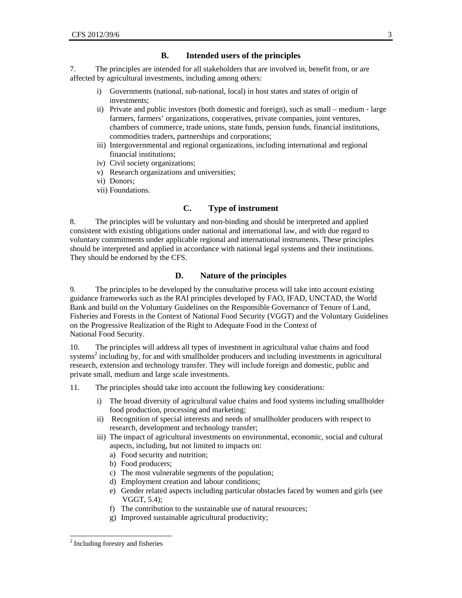### **B. Intended users of the principles**

7. The principles are intended for all stakeholders that are involved in, benefit from, or are affected by agricultural investments, including among others:

- i) Governments (national, sub-national, local) in host states and states of origin of investments;
- ii) Private and public investors (both domestic and foreign), such as small medium large farmers, farmers' organizations, cooperatives, private companies, joint ventures, chambers of commerce, trade unions, state funds, pension funds, financial institutions, commodities traders, partnerships and corporations;
- iii) Intergovernmental and regional organizations, including international and regional financial institutions;
- iv) Civil society organizations;
- v) Research organizations and universities;
- vi) Donors;
- vii) Foundations.

## **C. Type of instrument**

8. The principles will be voluntary and non-binding and should be interpreted and applied consistent with existing obligations under national and international law, and with due regard to voluntary commitments under applicable regional and international instruments. These principles should be interpreted and applied in accordance with national legal systems and their institutions. They should be endorsed by the CFS.

#### **D. Nature of the principles**

9. The principles to be developed by the consultative process will take into account existing guidance frameworks such as the RAI principles developed by FAO, IFAD, UNCTAD, the World Bank and build on the Voluntary Guidelines on the Responsible Governance of Tenure of Land, Fisheries and Forests in the Context of National Food Security (VGGT) and the Voluntary Guidelines on the Progressive Realization of the Right to Adequate Food in the Context of National Food Security.

10. The principles will address all types of investment in agricultural value chains and food systems<sup>2</sup> including by, for and with smallholder producers and including investments in agricultural research, extension and technology transfer. They will include foreign and domestic, public and private small, medium and large scale investments.

11. The principles should take into account the following key considerations:

- i) The broad diversity of agricultural value chains and food systems including smallholder food production, processing and marketing;
- ii) Recognition of special interests and needs of smallholder producers with respect to research, development and technology transfer;
- iii) The impact of agricultural investments on environmental, economic, social and cultural aspects, including, but not limited to impacts on:
	- a) Food security and nutrition;
	- b) Food producers;
	- c) The most vulnerable segments of the population;
	- d) Employment creation and labour conditions;
	- e) Gender related aspects including particular obstacles faced by women and girls (see VGGT, 5.4);
	- f) The contribution to the sustainable use of natural resources;
	- g) Improved sustainable agricultural productivity;

<sup>&</sup>lt;sup>2</sup> Including forestry and fisheries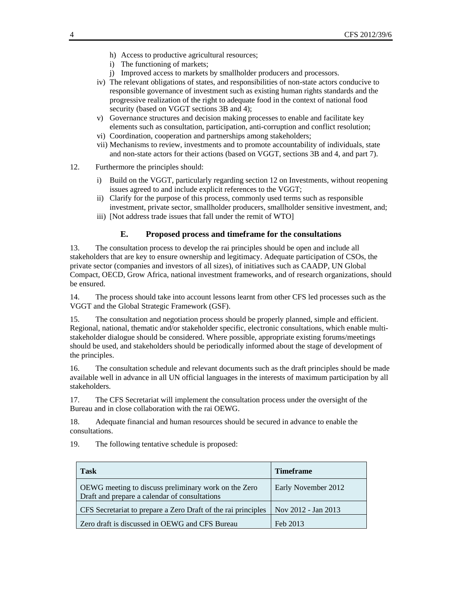- h) Access to productive agricultural resources;
- i) The functioning of markets;
- j) Improved access to markets by smallholder producers and processors.
- iv) The relevant obligations of states, and responsibilities of non-state actors conducive to responsible governance of investment such as existing human rights standards and the progressive realization of the right to adequate food in the context of national food security (based on VGGT sections 3B and 4);
- v) Governance structures and decision making processes to enable and facilitate key elements such as consultation, participation, anti-corruption and conflict resolution;
- vi) Coordination, cooperation and partnerships among stakeholders;
- vii) Mechanisms to review, investments and to promote accountability of individuals, state and non-state actors for their actions (based on VGGT, sections 3B and 4, and part 7).
- 12. Furthermore the principles should:
	- i) Build on the VGGT, particularly regarding section 12 on Investments, without reopening issues agreed to and include explicit references to the VGGT;
	- ii) Clarify for the purpose of this process, commonly used terms such as responsible investment, private sector, smallholder producers, smallholder sensitive investment, and;
	- iii) [Not address trade issues that fall under the remit of WTO]

#### **E. Proposed process and timeframe for the consultations**

13. The consultation process to develop the rai principles should be open and include all stakeholders that are key to ensure ownership and legitimacy. Adequate participation of CSOs, the private sector (companies and investors of all sizes), of initiatives such as CAADP, UN Global Compact, OECD, Grow Africa, national investment frameworks, and of research organizations, should be ensured.

14. The process should take into account lessons learnt from other CFS led processes such as the VGGT and the Global Strategic Framework (GSF).

15. The consultation and negotiation process should be properly planned, simple and efficient. Regional, national, thematic and/or stakeholder specific, electronic consultations, which enable multistakeholder dialogue should be considered. Where possible, appropriate existing forums/meetings should be used, and stakeholders should be periodically informed about the stage of development of the principles.

16. The consultation schedule and relevant documents such as the draft principles should be made available well in advance in all UN official languages in the interests of maximum participation by all stakeholders.

17. The CFS Secretariat will implement the consultation process under the oversight of the Bureau and in close collaboration with the rai OEWG.

18. Adequate financial and human resources should be secured in advance to enable the consultations.

19. The following tentative schedule is proposed:

| <b>Task</b>                                                                                           | <b>Timeframe</b>    |
|-------------------------------------------------------------------------------------------------------|---------------------|
| OEWG meeting to discuss preliminary work on the Zero<br>Draft and prepare a calendar of consultations | Early November 2012 |
| CFS Secretariat to prepare a Zero Draft of the rai principles                                         | Nov 2012 - Jan 2013 |
| Zero draft is discussed in OEWG and CFS Bureau                                                        | Feb 2013            |